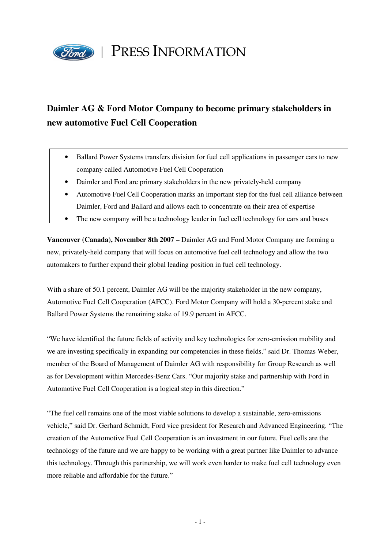

## **Daimler AG & Ford Motor Company to become primary stakeholders in new automotive Fuel Cell Cooperation**

- Ballard Power Systems transfers division for fuel cell applications in passenger cars to new company called Automotive Fuel Cell Cooperation
- Daimler and Ford are primary stakeholders in the new privately-held company
- Automotive Fuel Cell Cooperation marks an important step for the fuel cell alliance between Daimler, Ford and Ballard and allows each to concentrate on their area of expertise
- The new company will be a technology leader in fuel cell technology for cars and buses

**Vancouver (Canada), November 8th 2007 –** Daimler AG and Ford Motor Company are forming a new, privately-held company that will focus on automotive fuel cell technology and allow the two automakers to further expand their global leading position in fuel cell technology.

With a share of 50.1 percent, Daimler AG will be the majority stakeholder in the new company, Automotive Fuel Cell Cooperation (AFCC). Ford Motor Company will hold a 30-percent stake and Ballard Power Systems the remaining stake of 19.9 percent in AFCC.

"We have identified the future fields of activity and key technologies for zero-emission mobility and we are investing specifically in expanding our competencies in these fields," said Dr. Thomas Weber, member of the Board of Management of Daimler AG with responsibility for Group Research as well as for Development within Mercedes-Benz Cars. "Our majority stake and partnership with Ford in Automotive Fuel Cell Cooperation is a logical step in this direction."

"The fuel cell remains one of the most viable solutions to develop a sustainable, zero-emissions vehicle," said Dr. Gerhard Schmidt, Ford vice president for Research and Advanced Engineering. "The creation of the Automotive Fuel Cell Cooperation is an investment in our future. Fuel cells are the technology of the future and we are happy to be working with a great partner like Daimler to advance this technology. Through this partnership, we will work even harder to make fuel cell technology even more reliable and affordable for the future."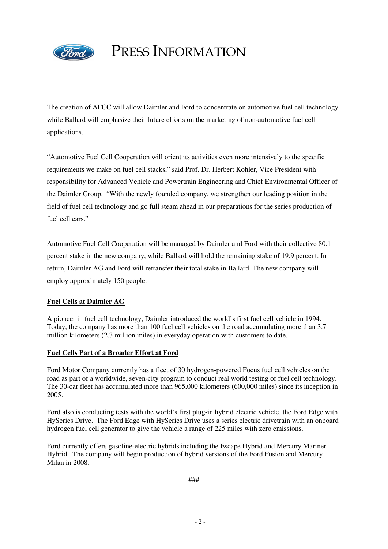

## PRESS INFORMATION

The creation of AFCC will allow Daimler and Ford to concentrate on automotive fuel cell technology while Ballard will emphasize their future efforts on the marketing of non-automotive fuel cell applications.

"Automotive Fuel Cell Cooperation will orient its activities even more intensively to the specific requirements we make on fuel cell stacks," said Prof. Dr. Herbert Kohler, Vice President with responsibility for Advanced Vehicle and Powertrain Engineering and Chief Environmental Officer of the Daimler Group. "With the newly founded company, we strengthen our leading position in the field of fuel cell technology and go full steam ahead in our preparations for the series production of fuel cell cars<sup>"</sup>

Automotive Fuel Cell Cooperation will be managed by Daimler and Ford with their collective 80.1 percent stake in the new company, while Ballard will hold the remaining stake of 19.9 percent. In return, Daimler AG and Ford will retransfer their total stake in Ballard. The new company will employ approximately 150 people.

## **Fuel Cells at Daimler AG**

A pioneer in fuel cell technology, Daimler introduced the world's first fuel cell vehicle in 1994. Today, the company has more than 100 fuel cell vehicles on the road accumulating more than 3.7 million kilometers (2.3 million miles) in everyday operation with customers to date.

## **Fuel Cells Part of a Broader Effort at Ford**

Ford Motor Company currently has a fleet of 30 hydrogen-powered Focus fuel cell vehicles on the road as part of a worldwide, seven-city program to conduct real world testing of fuel cell technology. The 30-car fleet has accumulated more than 965,000 kilometers (600,000 miles) since its inception in 2005.

Ford also is conducting tests with the world's first plug-in hybrid electric vehicle, the Ford Edge with HySeries Drive. The Ford Edge with HySeries Drive uses a series electric drivetrain with an onboard hydrogen fuel cell generator to give the vehicle a range of 225 miles with zero emissions.

Ford currently offers gasoline-electric hybrids including the Escape Hybrid and Mercury Mariner Hybrid. The company will begin production of hybrid versions of the Ford Fusion and Mercury Milan in 2008.

###